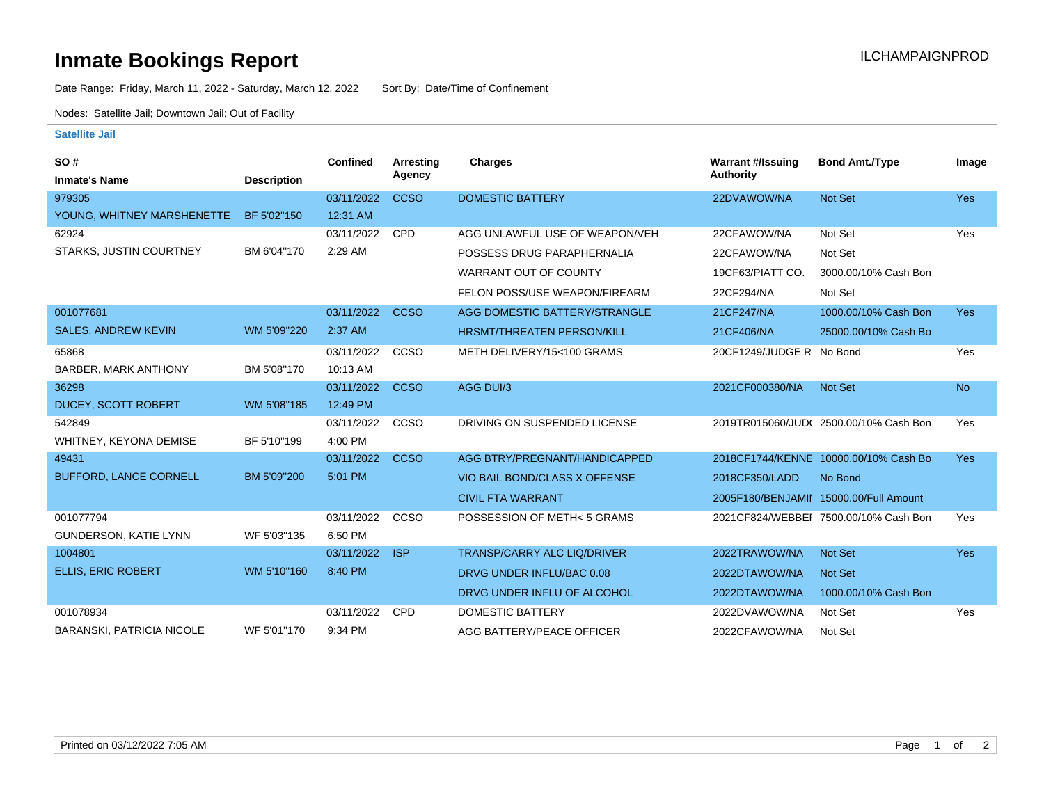## **Inmate Bookings Report Inmate Bookings Report**

Date Range: Friday, March 11, 2022 - Saturday, March 12, 2022 Sort By: Date/Time of Confinement

Nodes: Satellite Jail; Downtown Jail; Out of Facility

## **Satellite Jail**

| <b>SO#</b>                       |                    | <b>Confined</b> | <b>Arresting</b> | <b>Charges</b>                     | <b>Warrant #/Issuing</b> | <b>Bond Amt./Type</b>                  | Image      |
|----------------------------------|--------------------|-----------------|------------------|------------------------------------|--------------------------|----------------------------------------|------------|
| <b>Inmate's Name</b>             | <b>Description</b> |                 | Agency           |                                    | <b>Authority</b>         |                                        |            |
| 979305                           |                    | 03/11/2022      | <b>CCSO</b>      | <b>DOMESTIC BATTERY</b>            | 22DVAWOW/NA              | <b>Not Set</b>                         | <b>Yes</b> |
| YOUNG, WHITNEY MARSHENETTE       | BF 5'02"150        | 12:31 AM        |                  |                                    |                          |                                        |            |
| 62924                            |                    | 03/11/2022      | CPD              | AGG UNLAWFUL USE OF WEAPON/VEH     | 22CFAWOW/NA              | Not Set                                | Yes        |
| <b>STARKS, JUSTIN COURTNEY</b>   | BM 6'04"170        | 2:29 AM         |                  | POSSESS DRUG PARAPHERNALIA         | 22CFAWOW/NA              | Not Set                                |            |
|                                  |                    |                 |                  | <b>WARRANT OUT OF COUNTY</b>       | 19CF63/PIATT CO.         | 3000.00/10% Cash Bon                   |            |
|                                  |                    |                 |                  | FELON POSS/USE WEAPON/FIREARM      | 22CF294/NA               | Not Set                                |            |
| 001077681                        |                    | 03/11/2022      | <b>CCSO</b>      | AGG DOMESTIC BATTERY/STRANGLE      | 21CF247/NA               | 1000.00/10% Cash Bon                   | <b>Yes</b> |
| <b>SALES, ANDREW KEVIN</b>       | WM 5'09"220        | 2:37 AM         |                  | <b>HRSMT/THREATEN PERSON/KILL</b>  | 21CF406/NA               | 25000.00/10% Cash Bo                   |            |
| 65868                            |                    | 03/11/2022      | CCSO             | METH DELIVERY/15<100 GRAMS         | 20CF1249/JUDGE R No Bond |                                        | Yes        |
| <b>BARBER, MARK ANTHONY</b>      | BM 5'08"170        | 10:13 AM        |                  |                                    |                          |                                        |            |
| 36298                            |                    | 03/11/2022      | <b>CCSO</b>      | AGG DUI/3                          | 2021CF000380/NA          | <b>Not Set</b>                         | <b>No</b>  |
| DUCEY, SCOTT ROBERT              | WM 5'08"185        | 12:49 PM        |                  |                                    |                          |                                        |            |
| 542849                           |                    | 03/11/2022      | CCSO             | DRIVING ON SUSPENDED LICENSE       |                          | 2019TR015060/JUD(2500.00/10% Cash Bon  | Yes        |
| WHITNEY, KEYONA DEMISE           | BF 5'10"199        | 4:00 PM         |                  |                                    |                          |                                        |            |
| 49431                            |                    | 03/11/2022      | <b>CCSO</b>      | AGG BTRY/PREGNANT/HANDICAPPED      |                          | 2018CF1744/KENNE 10000.00/10% Cash Bo  | <b>Yes</b> |
| <b>BUFFORD, LANCE CORNELL</b>    | BM 5'09"200        | 5:01 PM         |                  | VIO BAIL BOND/CLASS X OFFENSE      | 2018CF350/LADD           | No Bond                                |            |
|                                  |                    |                 |                  | <b>CIVIL FTA WARRANT</b>           |                          | 2005F180/BENJAMII 15000.00/Full Amount |            |
| 001077794                        |                    | 03/11/2022      | CCSO             | POSSESSION OF METH< 5 GRAMS        |                          | 2021CF824/WEBBEI 7500.00/10% Cash Bon  | Yes        |
| <b>GUNDERSON, KATIE LYNN</b>     | WF 5'03"135        | 6:50 PM         |                  |                                    |                          |                                        |            |
| 1004801                          |                    | 03/11/2022      | <b>ISP</b>       | <b>TRANSP/CARRY ALC LIQ/DRIVER</b> | 2022TRAWOW/NA            | <b>Not Set</b>                         | <b>Yes</b> |
| <b>ELLIS, ERIC ROBERT</b>        | WM 5'10"160        | 8:40 PM         |                  | DRVG UNDER INFLU/BAC 0.08          | 2022DTAWOW/NA            | <b>Not Set</b>                         |            |
|                                  |                    |                 |                  | DRVG UNDER INFLU OF ALCOHOL        | 2022DTAWOW/NA            | 1000.00/10% Cash Bon                   |            |
| 001078934                        |                    | 03/11/2022      | <b>CPD</b>       | <b>DOMESTIC BATTERY</b>            | 2022DVAWOW/NA            | Not Set                                | Yes        |
| <b>BARANSKI, PATRICIA NICOLE</b> | WF 5'01"170        | 9:34 PM         |                  | <b>AGG BATTERY/PEACE OFFICER</b>   | 2022CFAWOW/NA            | Not Set                                |            |